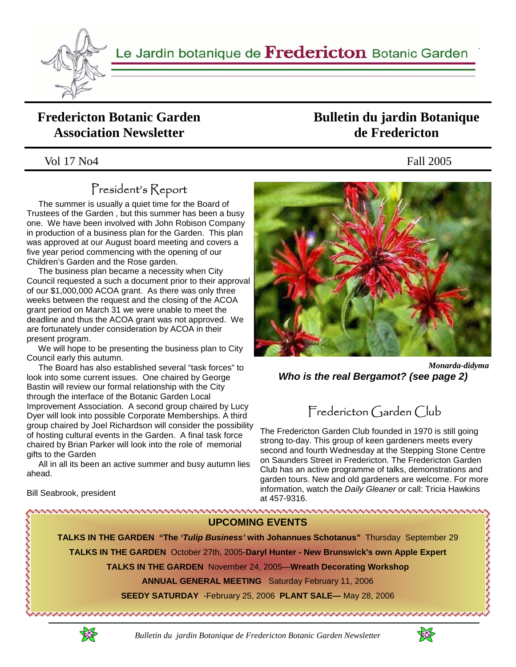

### **Fredericton Botanic Garden Association Newsletter**

### Vol 17 No4 Fall 2005

## President's Report

 The summer is usually a quiet time for the Board of Trustees of the Garden , but this summer has been a busy one. We have been involved with John Robison Company in production of a business plan for the Garden. This plan was approved at our August board meeting and covers a five year period commencing with the opening of our Children's Garden and the Rose garden.

 The business plan became a necessity when City Council requested a such a document prior to their approval of our \$1,000,000 ACOA grant. As there was only three weeks between the request and the closing of the ACOA grant period on March 31 we were unable to meet the deadline and thus the ACOA grant was not approved. We are fortunately under consideration by ACOA in their present program.

 We will hope to be presenting the business plan to City Council early this autumn.

 The Board has also established several "task forces" to look into some current issues. One chaired by George Bastin will review our formal relationship with the City through the interface of the Botanic Garden Local Improvement Association. A second group chaired by Lucy Dyer will look into possible Corporate Memberships. A third group chaired by Joel Richardson will consider the possibility of hosting cultural events in the Garden. A final task force chaired by Brian Parker will look into the role of memorial gifts to the Garden

 All in all its been an active summer and busy autumn lies ahead.

Bill Seabrook, president

いききん きょうきん きんきょう

## **Bulletin du jardin Botanique de Fredericton**



*Monarda-didyma Who is the real Bergamot? (see page 2)*

# Fredericton Garden Club

The Fredericton Garden Club founded in 1970 is still going strong to-day. This group of keen gardeners meets every second and fourth Wednesday at the Stepping Stone Centre on Saunders Street in Fredericton. The Fredericton Garden Club has an active programme of talks, demonstrations and garden tours. New and old gardeners are welcome. For more information, watch the *Daily Gleaner* or call: Tricia Hawkins at 457-9316.

**UPCOMING EVENTS TALKS IN THE GARDEN "The** *'Tulip Business'* **with Johannues Schotanus"** Thursday September 29 **TALKS IN THE GARDEN** October 27th, 2005-**Daryl Hunter - New Brunswick's own Apple Expert TALKS IN THE GARDEN** November 24, 2005—**Wreath Decorating Workshop ANNUAL GENERAL MEETING** Saturday February 11, 2006 **SEEDY SATURDAY** -February 25, 2006 **PLANT SALE—** May 28, 2006 KIKIKIN DI KIKIKIKIKIKIKI DI MIKIKIKIKIKIKI DI MIKIKI DI MIKIKI DI MIKIKI DI MIKIKI DI MIKIKI MIKIKI DI MIKIKI 





くききききききききききき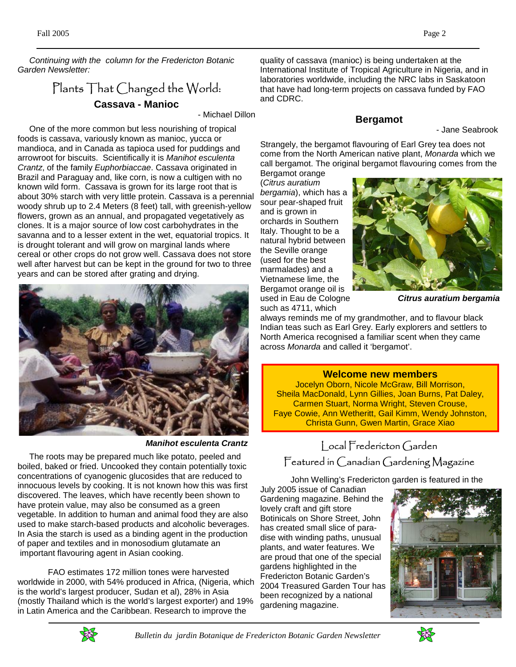*Continuing with the column for the Fredericton Botanic Garden Newsletter:* 

### Plants That Changed the World: **Cassava - Manioc**

- Michael Dillon

 One of the more common but less nourishing of tropical foods is cassava, variously known as manioc, yucca or mandioca, and in Canada as tapioca used for puddings and arrowroot for biscuits. Scientifically it is *Manihot esculenta Crantz*, of the family *Euphorbiaccae*. Cassava originated in Brazil and Paraguay and, like corn, is now a cultigen with no known wild form. Cassava is grown for its large root that is about 30% starch with very little protein. Cassava is a perennial woody shrub up to 2.4 Meters (8 feet) tall, with greenish-yellow flowers, grown as an annual, and propagated vegetatively as clones. It is a major source of low cost carbohydrates in the savanna and to a lesser extent in the wet, equatorial tropics. It is drought tolerant and will grow on marginal lands where cereal or other crops do not grow well. Cassava does not store well after harvest but can be kept in the ground for two to three years and can be stored after grating and drying.



*Manihot esculenta Crantz*

 The roots may be prepared much like potato, peeled and boiled, baked or fried. Uncooked they contain potentially toxic concentrations of cyanogenic glucosides that are reduced to innocuous levels by cooking. It is not known how this was first discovered. The leaves, which have recently been shown to have protein value, may also be consumed as a green vegetable. In addition to human and animal food they are also used to make starch-based products and alcoholic beverages. In Asia the starch is used as a binding agent in the production of paper and textiles and in monosodium glutamate an important flavouring agent in Asian cooking.

 FAO estimates 172 million tones were harvested worldwide in 2000, with 54% produced in Africa, (Nigeria, which is the world's largest producer, Sudan et al), 28% in Asia (mostly Thailand which is the world's largest exporter) and 19% in Latin America and the Caribbean. Research to improve the

quality of cassava (manioc) is being undertaken at the International Institute of Tropical Agriculture in Nigeria, and in laboratories worldwide, including the NRC labs in Saskatoon that have had long-term projects on cassava funded by FAO and CDRC.

#### **Bergamot**

- Jane Seabrook

Strangely, the bergamot flavouring of Earl Grey tea does not come from the North American native plant, *Monarda* which we call bergamot. The original bergamot flavouring comes from the

Bergamot orange (*Citrus auratium bergamia*), which has a sour pear-shaped fruit and is grown in orchards in Southern Italy. Thought to be a natural hybrid between the Seville orange (used for the best marmalades) and a Vietnamese lime, the Bergamot orange oil is used in Eau de Cologne such as 4711, which



*Citrus auratium bergamia*

always reminds me of my grandmother, and to flavour black Indian teas such as Earl Grey. Early explorers and settlers to North America recognised a familiar scent when they came across *Monarda* and called it 'bergamot'.

#### **Welcome new members**

Jocelyn Oborn, Nicole McGraw, Bill Morrison, Sheila MacDonald, Lynn Gillies, Joan Burns, Pat Daley, Carmen Stuart, Norma Wright, Steven Crouse, Faye Cowie, Ann Wetheritt, Gail Kimm, Wendy Johnston, Christa Gunn, Gwen Martin, Grace Xiao

## Local Fredericton Garden Featured in Canadian Gardening Magazine

John Welling's Fredericton garden is featured in the

July 2005 issue of Canadian Gardening magazine. Behind the lovely craft and gift store Botinicals on Shore Street, John has created small slice of paradise with winding paths, unusual plants, and water features. We are proud that one of the special gardens highlighted in the Fredericton Botanic Garden's 2004 Treasured Garden Tour has been recognized by a national gardening magazine.





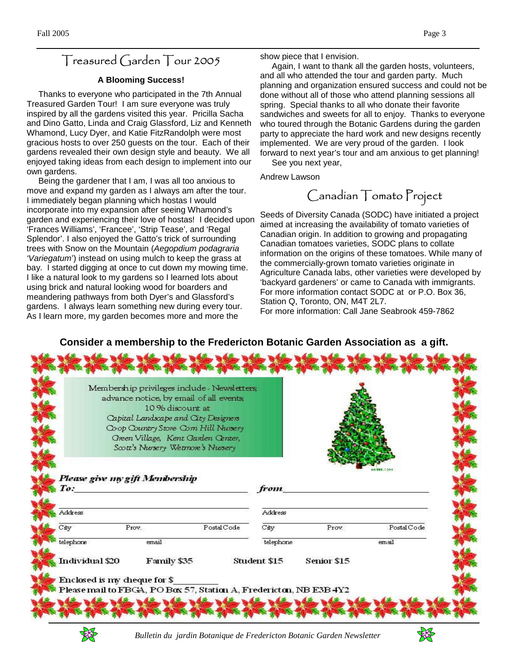### Treasured Garden Tour 2005

#### **A Blooming Success!**

 Thanks to everyone who participated in the 7th Annual Treasured Garden Tour! I am sure everyone was truly inspired by all the gardens visited this year. Pricilla Sacha and Dino Gatto, Linda and Craig Glassford, Liz and Kenneth Whamond, Lucy Dyer, and Katie FitzRandolph were most gracious hosts to over 250 guests on the tour. Each of their gardens revealed their own design style and beauty. We all enjoyed taking ideas from each design to implement into our own gardens.

 Being the gardener that I am, I was all too anxious to move and expand my garden as I always am after the tour. I immediately began planning which hostas I would incorporate into my expansion after seeing Whamond's garden and experiencing their love of hostas! I decided upon 'Frances Williams', 'Francee', 'Strip Tease', and 'Regal Splendor'. I also enjoyed the Gatto's trick of surrounding trees with Snow on the Mountain (*Aegopdium podagraria 'Variegatum*') instead on using mulch to keep the grass at bay. I started digging at once to cut down my mowing time. I like a natural look to my gardens so I learned lots about using brick and natural looking wood for boarders and meandering pathways from both Dyer's and Glassford's gardens. I always learn something new during every tour. As I learn more, my garden becomes more and more the

show piece that I envision.

 Again, I want to thank all the garden hosts, volunteers, and all who attended the tour and garden party. Much planning and organization ensured success and could not be done without all of those who attend planning sessions all spring. Special thanks to all who donate their favorite sandwiches and sweets for all to enjoy. Thanks to everyone who toured through the Botanic Gardens during the garden party to appreciate the hard work and new designs recently implemented. We are very proud of the garden. I look forward to next year's tour and am anxious to get planning!

See you next year,

Andrew Lawson

Canadian Tomato Project

Seeds of Diversity Canada (SODC) have initiated a project aimed at increasing the availability of tomato varieties of Canadian origin. In addition to growing and propagating Canadian tomatoes varieties, SODC plans to collate information on the origins of these tomatoes. While many of the commercially-grown tomato varieties originate in Agriculture Canada labs, other varieties were developed by 'backyard gardeners' or came to Canada with immigrants. For more information contact SODC at or P.O. Box 36, Station Q, Toronto, ON, M4T 2L7. For more information: Call Jane Seabrook 459-7862

### **Consider a membership to the Fredericton Botanic Garden Association as a gift.**

|                 | advance notice, by email of all events;<br>Capital Landscape and City Designers<br>Please give my gift Membership | 10 % discount at<br>Coop Country Store Corn Hill Nursery<br>Green Village, Kent Garden Center,<br>Scott's Nursery Wetmore's Nursery |              |                    | <b>ARMIE 451</b> |
|-----------------|-------------------------------------------------------------------------------------------------------------------|-------------------------------------------------------------------------------------------------------------------------------------|--------------|--------------------|------------------|
| To:             |                                                                                                                   |                                                                                                                                     | from.        |                    |                  |
| Address         |                                                                                                                   |                                                                                                                                     | Address      |                    |                  |
| City            | Prov.                                                                                                             | PostalCode                                                                                                                          | City         | Prov.              | Postal Code      |
| telephone       | email                                                                                                             |                                                                                                                                     | telephone    |                    | email            |
| Individual \$20 | Family \$35<br>Enclosed is my cheque for \$                                                                       |                                                                                                                                     | Student \$15 | <b>Senior \$15</b> |                  |



 *Bulletin du jardin Botanique de Fredericton Botanic Garden Newsletter*